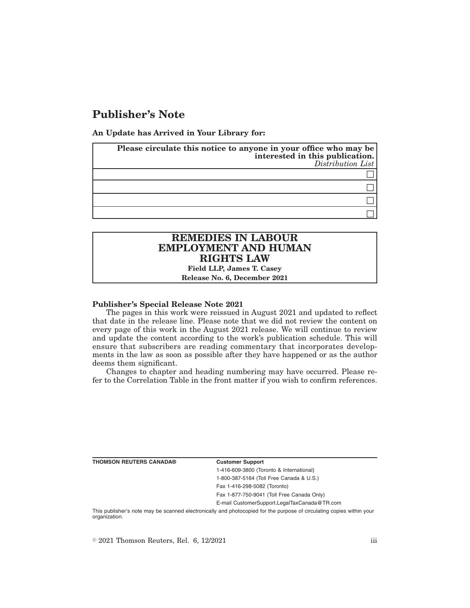# **Publisher's Note**

**An Update has Arrived in Your Library for:**

| Please circulate this notice to anyone in your office who may be<br>interested in this publication.<br>Distribution List |
|--------------------------------------------------------------------------------------------------------------------------|
|                                                                                                                          |
|                                                                                                                          |
|                                                                                                                          |
|                                                                                                                          |

## **REMEDIES IN LABOUR EMPLOYMENT AND HUMAN RIGHTS LAW**

**Field LLP, James T. Casey Release No. 6, December 2021**

#### **Publisher's Special Release Note 2021**

The pages in this work were reissued in August 2021 and updated to reflect that date in the release line. Please note that we did not review the content on every page of this work in the August 2021 release. We will continue to review and update the content according to the work's publication schedule. This will ensure that subscribers are reading commentary that incorporates developments in the law as soon as possible after they have happened or as the author deems them significant.

Changes to chapter and heading numbering may have occurred. Please refer to the Correlation Table in the front matter if you wish to confirm references.

**THOMSON REUTERS CANADA® Customer Support**

1-416-609-3800 (Toronto & International) 1-800-387-5164 (Toll Free Canada & U.S.) Fax 1-416-298-5082 (Toronto)

Fax 1-877-750-9041 (Toll Free Canada Only)

E-mail CustomerSupport.LegalTaxCanada@TR.com

This publisher's note may be scanned electronically and photocopied for the purpose of circulating copies within your organization.

 $\degree$  2021 Thomson Reuters, Rel. 6, 12/2021 iii